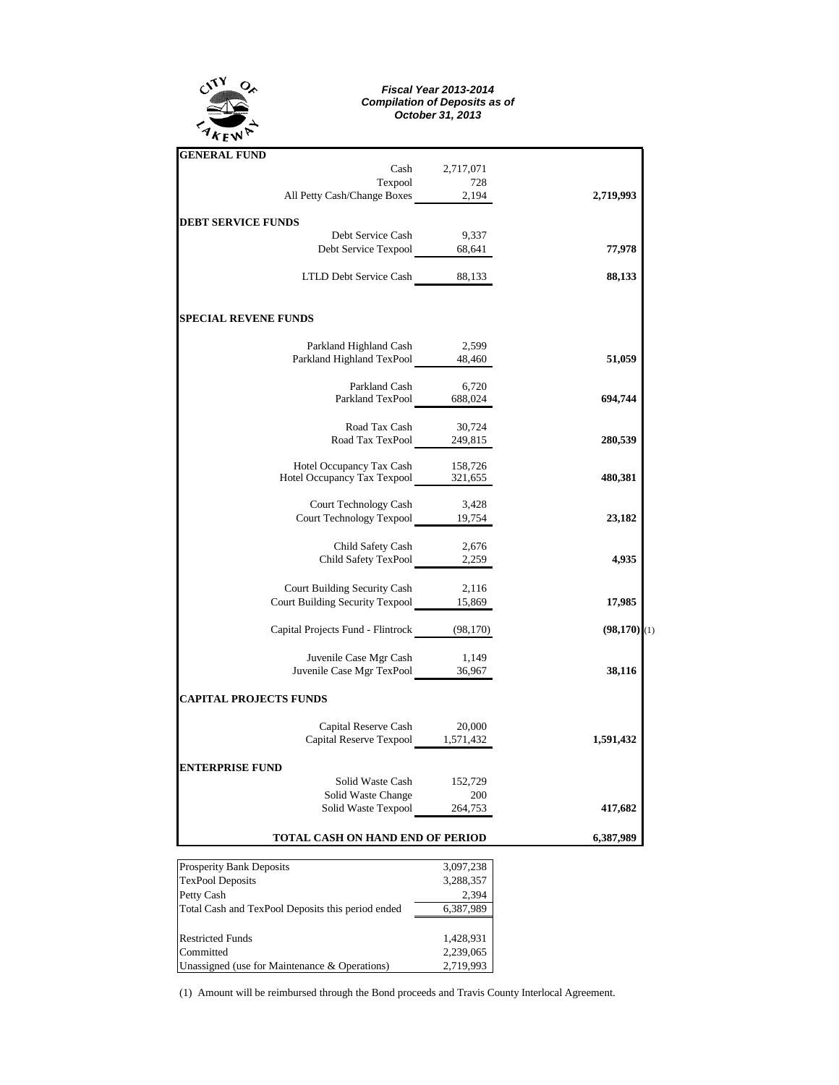

## *Fiscal Year 2013-2014 Compilation of Deposits as of October 31, 2013*

| <b>GENERAL FUND</b>               |           |                           |
|-----------------------------------|-----------|---------------------------|
| Cash                              | 2,717,071 |                           |
| Texpool                           | 728       |                           |
| All Petty Cash/Change Boxes       | 2,194     | 2,719,993                 |
| <b>DEBT SERVICE FUNDS</b>         |           |                           |
| Debt Service Cash                 | 9,337     |                           |
| Debt Service Texpool              | 68,641    | 77,978                    |
| LTLD Debt Service Cash 88,133     |           | 88,133                    |
| <b>SPECIAL REVENE FUNDS</b>       |           |                           |
| Parkland Highland Cash            | 2,599     |                           |
| Parkland Highland TexPool         | 48,460    | 51,059                    |
| Parkland Cash                     | 6,720     |                           |
| Parkland TexPool                  | 688,024   | 694,744                   |
| Road Tax Cash                     | 30,724    |                           |
| Road Tax TexPool                  | 249,815   | 280,539                   |
| Hotel Occupancy Tax Cash          | 158,726   |                           |
| Hotel Occupancy Tax Texpool       | 321,655   | 480,381                   |
| Court Technology Cash             | 3,428     |                           |
| <b>Court Technology Texpool</b>   | 19,754    | 23,182                    |
| Child Safety Cash                 | 2,676     |                           |
| Child Safety TexPool              | 2,259     | 4,935                     |
| Court Building Security Cash      | 2,116     |                           |
| Court Building Security Texpool   | 15,869    | 17,985                    |
| Capital Projects Fund - Flintrock | (98, 170) | $(98,170)$ <sup>(1)</sup> |
| Juvenile Case Mgr Cash            | 1,149     |                           |
| Juvenile Case Mgr TexPool         | 36,967    | 38,116                    |
| <b>CAPITAL PROJECTS FUNDS</b>     |           |                           |
| Capital Reserve Cash              | 20,000    |                           |
| Capital Reserve Texpool           | 1,571,432 | 1,591,432                 |
| <b>ENTERPRISE FUND</b>            |           |                           |
| Solid Waste Cash                  | 152,729   |                           |
| Solid Waste Change                | 200       |                           |
| Solid Waste Texpool               | 264,753   | 417,682                   |
| TOTAL CASH ON HAND END OF PERIOD  |           | 6,387,989                 |
| <b>Propority Raph Deposit</b>     | 2.007.229 |                           |

| <b>Prosperity Bank Deposits</b>                   | 3,097,238 |  |  |
|---------------------------------------------------|-----------|--|--|
| <b>TexPool Deposits</b>                           | 3,288,357 |  |  |
| Petty Cash                                        | 2.394     |  |  |
| Total Cash and TexPool Deposits this period ended | 6,387,989 |  |  |
|                                                   |           |  |  |
| <b>Restricted Funds</b>                           | 1,428,931 |  |  |
| Committed                                         | 2,239,065 |  |  |
| Unassigned (use for Maintenance & Operations)     | 2,719,993 |  |  |

(1) Amount will be reimbursed through the Bond proceeds and Travis County Interlocal Agreement.